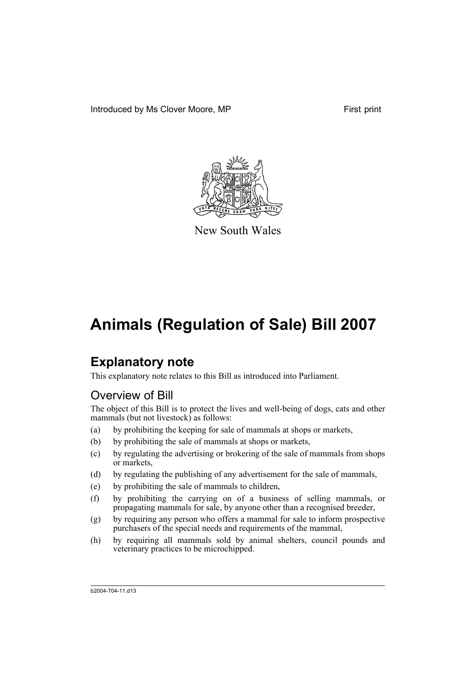Introduced by Ms Clover Moore, MP First print



New South Wales

# **Animals (Regulation of Sale) Bill 2007**

# **Explanatory note**

This explanatory note relates to this Bill as introduced into Parliament.

# Overview of Bill

The object of this Bill is to protect the lives and well-being of dogs, cats and other mammals (but not livestock) as follows:

- (a) by prohibiting the keeping for sale of mammals at shops or markets,
- (b) by prohibiting the sale of mammals at shops or markets,
- (c) by regulating the advertising or brokering of the sale of mammals from shops or markets,
- (d) by regulating the publishing of any advertisement for the sale of mammals,
- (e) by prohibiting the sale of mammals to children,
- (f) by prohibiting the carrying on of a business of selling mammals, or propagating mammals for sale, by anyone other than a recognised breeder,
- (g) by requiring any person who offers a mammal for sale to inform prospective purchasers of the special needs and requirements of the mammal,
- (h) by requiring all mammals sold by animal shelters, council pounds and veterinary practices to be microchipped.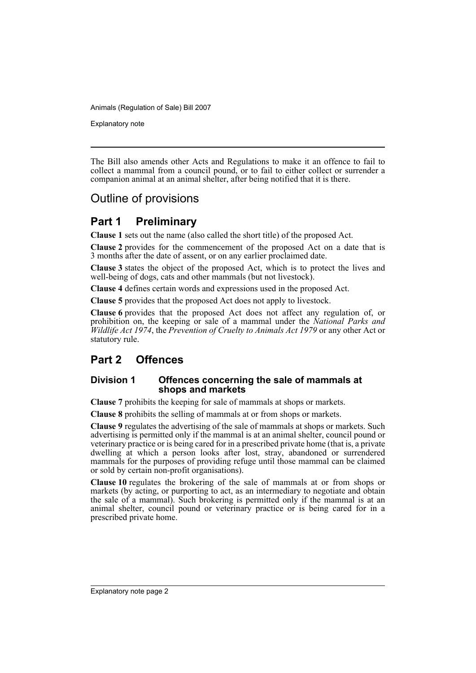Explanatory note

The Bill also amends other Acts and Regulations to make it an offence to fail to collect a mammal from a council pound, or to fail to either collect or surrender a companion animal at an animal shelter, after being notified that it is there.

# Outline of provisions

# **Part 1 Preliminary**

**Clause 1** sets out the name (also called the short title) of the proposed Act.

**Clause 2** provides for the commencement of the proposed Act on a date that is 3 months after the date of assent, or on any earlier proclaimed date.

**Clause 3** states the object of the proposed Act, which is to protect the lives and well-being of dogs, cats and other mammals (but not livestock).

**Clause 4** defines certain words and expressions used in the proposed Act.

**Clause 5** provides that the proposed Act does not apply to livestock.

**Clause 6** provides that the proposed Act does not affect any regulation of, or prohibition on, the keeping or sale of a mammal under the *National Parks and Wildlife Act 1974*, the *Prevention of Cruelty to Animals Act 1979* or any other Act or statutory rule.

# **Part 2 Offences**

#### **Division 1 Offences concerning the sale of mammals at shops and markets**

**Clause 7** prohibits the keeping for sale of mammals at shops or markets.

**Clause 8** prohibits the selling of mammals at or from shops or markets.

**Clause 9** regulates the advertising of the sale of mammals at shops or markets. Such advertising is permitted only if the mammal is at an animal shelter, council pound or veterinary practice or is being cared for in a prescribed private home (that is, a private dwelling at which a person looks after lost, stray, abandoned or surrendered mammals for the purposes of providing refuge until those mammal can be claimed or sold by certain non-profit organisations).

**Clause 10** regulates the brokering of the sale of mammals at or from shops or markets (by acting, or purporting to act, as an intermediary to negotiate and obtain the sale of a mammal). Such brokering is permitted only if the mammal is at an animal shelter, council pound or veterinary practice or is being cared for in a prescribed private home.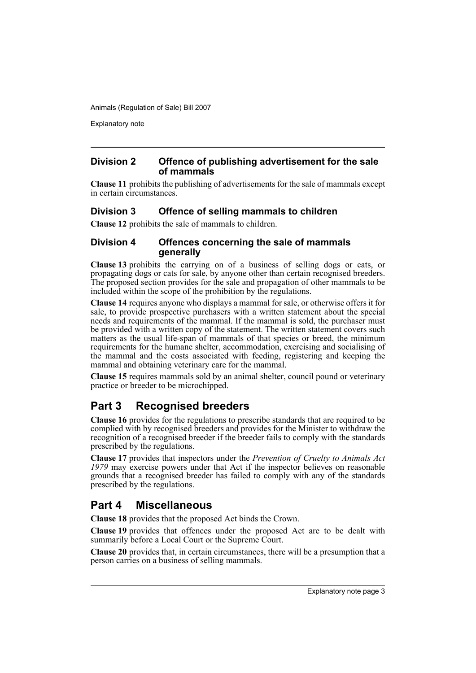Explanatory note

#### **Division 2 Offence of publishing advertisement for the sale of mammals**

**Clause 11** prohibits the publishing of advertisements for the sale of mammals except in certain circumstances.

### **Division 3 Offence of selling mammals to children**

**Clause 12** prohibits the sale of mammals to children.

#### **Division 4 Offences concerning the sale of mammals generally**

**Clause 13** prohibits the carrying on of a business of selling dogs or cats, or propagating dogs or cats for sale, by anyone other than certain recognised breeders. The proposed section provides for the sale and propagation of other mammals to be included within the scope of the prohibition by the regulations.

**Clause 14** requires anyone who displays a mammal for sale, or otherwise offers it for sale, to provide prospective purchasers with a written statement about the special needs and requirements of the mammal. If the mammal is sold, the purchaser must be provided with a written copy of the statement. The written statement covers such matters as the usual life-span of mammals of that species or breed, the minimum requirements for the humane shelter, accommodation, exercising and socialising of the mammal and the costs associated with feeding, registering and keeping the mammal and obtaining veterinary care for the mammal.

**Clause 15** requires mammals sold by an animal shelter, council pound or veterinary practice or breeder to be microchipped.

# **Part 3 Recognised breeders**

**Clause 16** provides for the regulations to prescribe standards that are required to be complied with by recognised breeders and provides for the Minister to withdraw the recognition of a recognised breeder if the breeder fails to comply with the standards prescribed by the regulations.

**Clause 17** provides that inspectors under the *Prevention of Cruelty to Animals Act* 1979 may exercise powers under that Act if the inspector believes on reasonable grounds that a recognised breeder has failed to comply with any of the standards prescribed by the regulations.

## **Part 4 Miscellaneous**

**Clause 18** provides that the proposed Act binds the Crown.

**Clause 19** provides that offences under the proposed Act are to be dealt with summarily before a Local Court or the Supreme Court.

**Clause 20** provides that, in certain circumstances, there will be a presumption that a person carries on a business of selling mammals.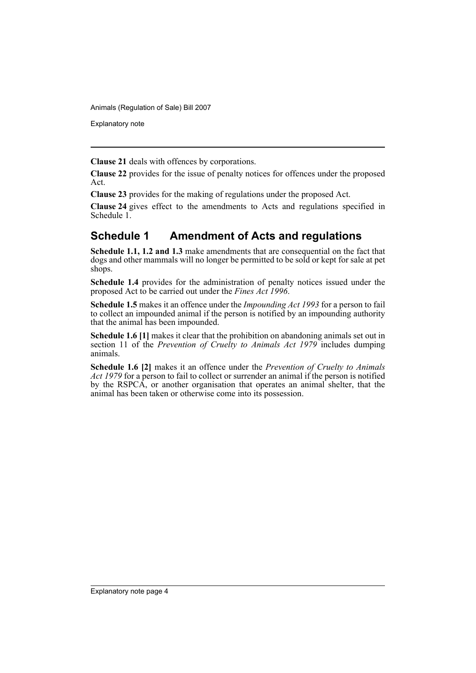Explanatory note

**Clause 21** deals with offences by corporations.

**Clause 22** provides for the issue of penalty notices for offences under the proposed Act.

**Clause 23** provides for the making of regulations under the proposed Act.

**Clause 24** gives effect to the amendments to Acts and regulations specified in Schedule 1.

# **Schedule 1 Amendment of Acts and regulations**

**Schedule 1.1, 1.2 and 1.3** make amendments that are consequential on the fact that dogs and other mammals will no longer be permitted to be sold or kept for sale at pet shops.

**Schedule 1.4** provides for the administration of penalty notices issued under the proposed Act to be carried out under the *Fines Act 1996*.

**Schedule 1.5** makes it an offence under the *Impounding Act 1993* for a person to fail to collect an impounded animal if the person is notified by an impounding authority that the animal has been impounded.

**Schedule 1.6 [1]** makes it clear that the prohibition on abandoning animals set out in section 11 of the *Prevention of Cruelty to Animals Act 1979* includes dumping animals.

**Schedule 1.6 [2]** makes it an offence under the *Prevention of Cruelty to Animals Act 1979* for a person to fail to collect or surrender an animal if the person is notified by the RSPCA, or another organisation that operates an animal shelter, that the animal has been taken or otherwise come into its possession.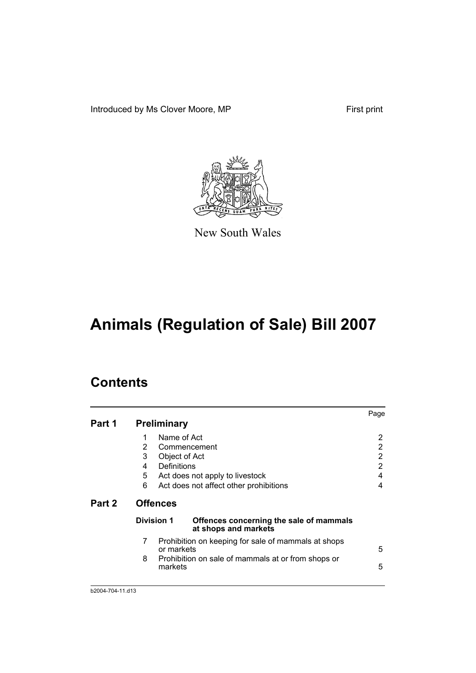Introduced by Ms Clover Moore, MP First print



New South Wales

# **Animals (Regulation of Sale) Bill 2007**

# **Contents**

|        |                                                                               | Page |
|--------|-------------------------------------------------------------------------------|------|
| Part 1 | <b>Preliminary</b>                                                            |      |
|        | Name of Act<br>1                                                              | 2    |
|        | 2<br>Commencement                                                             | 2    |
|        | 3<br>Object of Act                                                            | 2    |
|        | Definitions<br>4                                                              | 2    |
|        | 5<br>Act does not apply to livestock                                          | 4    |
|        | 6<br>Act does not affect other prohibitions                                   | 4    |
| Part 2 | <b>Offences</b>                                                               |      |
|        | Division 1<br>Offences concerning the sale of mammals<br>at shops and markets |      |
|        | 7<br>Prohibition on keeping for sale of mammals at shops<br>or markets        | 5    |
|        | 8<br>Prohibition on sale of mammals at or from shops or<br>markets            | 5    |
|        |                                                                               |      |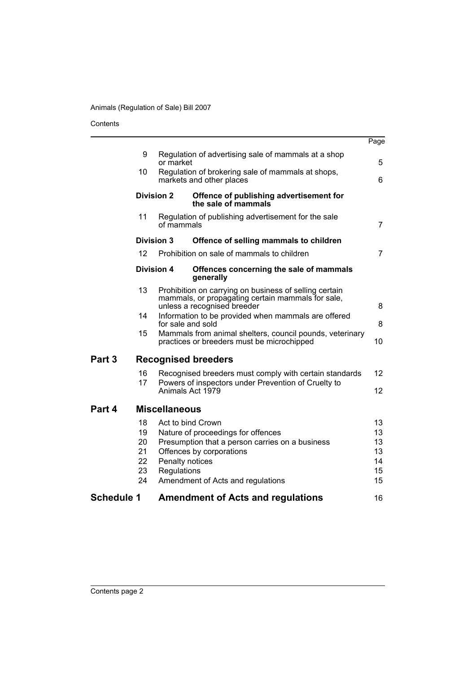Contents

|                   |                   |                      |                                                                                                                                            | Page            |
|-------------------|-------------------|----------------------|--------------------------------------------------------------------------------------------------------------------------------------------|-----------------|
|                   | 9                 | or market            | Regulation of advertising sale of mammals at a shop                                                                                        | 5               |
|                   | 10                |                      | Regulation of brokering sale of mammals at shops,<br>markets and other places                                                              | 6               |
|                   | <b>Division 2</b> |                      | Offence of publishing advertisement for<br>the sale of mammals                                                                             |                 |
|                   | 11                | of mammals           | Regulation of publishing advertisement for the sale                                                                                        | 7               |
|                   | <b>Division 3</b> |                      | Offence of selling mammals to children                                                                                                     |                 |
|                   | 12                |                      | Prohibition on sale of mammals to children                                                                                                 | 7               |
|                   | Division 4        |                      | Offences concerning the sale of mammals<br>generally                                                                                       |                 |
|                   | 13                |                      | Prohibition on carrying on business of selling certain<br>mammals, or propagating certain mammals for sale,<br>unless a recognised breeder | 8               |
|                   | 14                | for sale and sold    | Information to be provided when mammals are offered                                                                                        | 8               |
|                   | 15                |                      | Mammals from animal shelters, council pounds, veterinary<br>practices or breeders must be microchipped                                     | 10              |
| Part 3            |                   |                      | <b>Recognised breeders</b>                                                                                                                 |                 |
|                   | 16<br>17          |                      | Recognised breeders must comply with certain standards<br>Powers of inspectors under Prevention of Cruelty to                              | 12 <sup>2</sup> |
|                   |                   |                      | Animals Act 1979                                                                                                                           | 12              |
| Part 4            |                   | <b>Miscellaneous</b> |                                                                                                                                            |                 |
|                   | 18                |                      | Act to bind Crown                                                                                                                          | 13              |
|                   | 19                |                      | Nature of proceedings for offences                                                                                                         | 13              |
|                   | 20                |                      | Presumption that a person carries on a business                                                                                            | 13              |
|                   | 21                |                      | Offences by corporations                                                                                                                   | 13              |
|                   | 22                | Penalty notices      |                                                                                                                                            | 14              |
|                   | 23<br>24          | Regulations          | Amendment of Acts and regulations                                                                                                          | 15<br>15        |
|                   |                   |                      |                                                                                                                                            |                 |
| <b>Schedule 1</b> |                   |                      | <b>Amendment of Acts and regulations</b>                                                                                                   | 16              |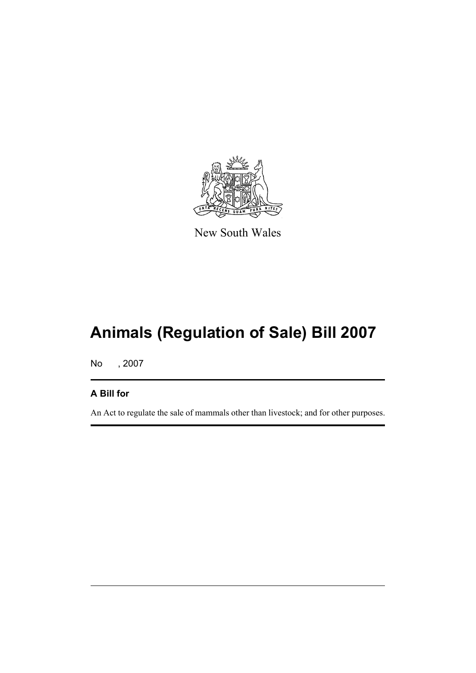

New South Wales

# **Animals (Regulation of Sale) Bill 2007**

No , 2007

# **A Bill for**

An Act to regulate the sale of mammals other than livestock; and for other purposes.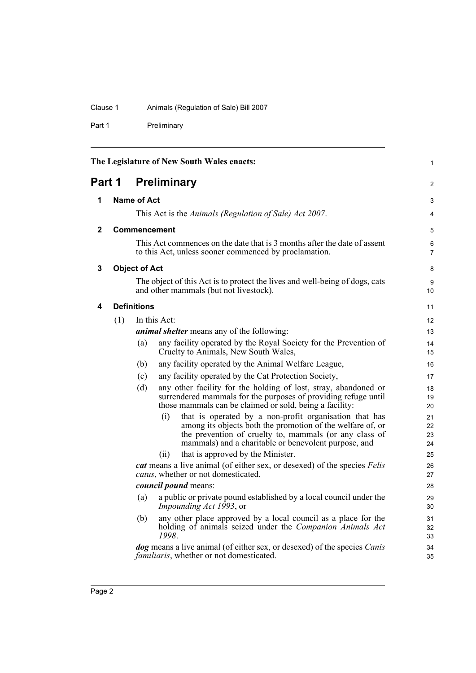### Clause 1 Animals (Regulation of Sale) Bill 2007

Part 1 Preliminary

<span id="page-7-4"></span><span id="page-7-3"></span><span id="page-7-2"></span><span id="page-7-1"></span><span id="page-7-0"></span>

| The Legislature of New South Wales enacts: |                    |                      |                                                                                                                                                                                                                                               | 1                    |
|--------------------------------------------|--------------------|----------------------|-----------------------------------------------------------------------------------------------------------------------------------------------------------------------------------------------------------------------------------------------|----------------------|
| Part 1                                     |                    |                      | <b>Preliminary</b>                                                                                                                                                                                                                            | $\overline{2}$       |
| 1                                          | <b>Name of Act</b> |                      |                                                                                                                                                                                                                                               | 3                    |
|                                            |                    |                      | This Act is the Animals (Regulation of Sale) Act 2007.                                                                                                                                                                                        | 4                    |
| $\mathbf{2}$                               |                    |                      | <b>Commencement</b>                                                                                                                                                                                                                           | 5                    |
|                                            |                    |                      | This Act commences on the date that is 3 months after the date of assent<br>to this Act, unless sooner commenced by proclamation.                                                                                                             | 6<br>$\overline{7}$  |
| 3                                          |                    | <b>Object of Act</b> |                                                                                                                                                                                                                                               | 8                    |
|                                            |                    |                      | The object of this Act is to protect the lives and well-being of dogs, cats<br>and other mammals (but not livestock).                                                                                                                         | 9<br>10              |
| 4                                          |                    | <b>Definitions</b>   |                                                                                                                                                                                                                                               | 11                   |
|                                            | (1)                |                      | In this Act:                                                                                                                                                                                                                                  | 12                   |
|                                            |                    |                      | <i>animal shelter</i> means any of the following:                                                                                                                                                                                             | 13                   |
|                                            |                    | (a)                  | any facility operated by the Royal Society for the Prevention of<br>Cruelty to Animals, New South Wales,                                                                                                                                      | 14<br>15             |
|                                            |                    | (b)                  | any facility operated by the Animal Welfare League,                                                                                                                                                                                           | 16                   |
|                                            |                    | (c)                  | any facility operated by the Cat Protection Society,                                                                                                                                                                                          | 17                   |
|                                            |                    | (d)                  | any other facility for the holding of lost, stray, abandoned or<br>surrendered mammals for the purposes of providing refuge until<br>those mammals can be claimed or sold, being a facility:                                                  | 18<br>19<br>20       |
|                                            |                    |                      | that is operated by a non-profit organisation that has<br>(i)<br>among its objects both the promotion of the welfare of, or<br>the prevention of cruelty to, mammals (or any class of<br>mammals) and a charitable or benevolent purpose, and | 21<br>22<br>23<br>24 |
|                                            |                    |                      | that is approved by the Minister.<br>(i)                                                                                                                                                                                                      | 25                   |
|                                            |                    |                      | <i>cat</i> means a live animal (of either sex, or desexed) of the species Felis<br>catus, whether or not domesticated.                                                                                                                        | 26<br>27             |
|                                            |                    |                      | <i>council pound</i> means:                                                                                                                                                                                                                   | 28                   |
|                                            |                    | (a)                  | a public or private pound established by a local council under the<br><i>Impounding Act 1993</i> , or                                                                                                                                         | 29<br>30             |
|                                            |                    | (b)                  | any other place approved by a local council as a place for the<br>holding of animals seized under the <i>Companion Animals Act</i><br>1998.                                                                                                   | 31<br>32<br>33       |
|                                            |                    |                      | <i>dog</i> means a live animal (of either sex, or desexed) of the species <i>Canis</i><br><i>familiaris</i> , whether or not domesticated.                                                                                                    | 34<br>35             |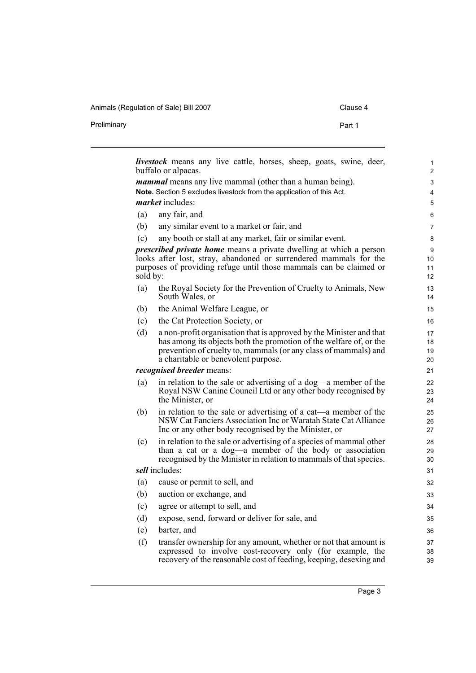| Alliniais (Regulation of Saic) Dill 2007 | viausu : |
|------------------------------------------|----------|
| Preliminary                              | Part 1   |

|          | <b>livestock</b> means any live cattle, horses, sheep, goats, swine, deer,<br>buffalo or alpacas.                                       |  |
|----------|-----------------------------------------------------------------------------------------------------------------------------------------|--|
|          | <i>mammal</i> means any live mammal (other than a human being).                                                                         |  |
|          | Note. Section 5 excludes livestock from the application of this Act.                                                                    |  |
|          | <i>market</i> includes:                                                                                                                 |  |
| (a)      | any fair, and                                                                                                                           |  |
| (b)      | any similar event to a market or fair, and                                                                                              |  |
| (c)      | any booth or stall at any market, fair or similar event.                                                                                |  |
|          | <i>prescribed private home</i> means a private dwelling at which a person                                                               |  |
|          | looks after lost, stray, abandoned or surrendered mammals for the<br>purposes of providing refuge until those mammals can be claimed or |  |
| sold by: |                                                                                                                                         |  |
| (a)      | the Royal Society for the Prevention of Cruelty to Animals, New                                                                         |  |
|          | South Wales, or                                                                                                                         |  |
| (b)      | the Animal Welfare League, or                                                                                                           |  |
| (c)      | the Cat Protection Society, or                                                                                                          |  |
| (d)      | a non-profit organisation that is approved by the Minister and that                                                                     |  |
|          | has among its objects both the promotion of the welfare of, or the                                                                      |  |
|          | prevention of cruelty to, mammals (or any class of mammals) and<br>a charitable or benevolent purpose.                                  |  |
|          | <i>recognised breeder means:</i>                                                                                                        |  |
| (a)      | in relation to the sale or advertising of a dog—a member of the                                                                         |  |
|          | Royal NSW Canine Council Ltd or any other body recognised by                                                                            |  |
|          | the Minister, or                                                                                                                        |  |
| (b)      | in relation to the sale or advertising of a cat—a member of the<br>NSW Cat Fanciers Association Inc or Waratah State Cat Alliance       |  |
|          | Inc or any other body recognised by the Minister, or                                                                                    |  |
| (c)      | in relation to the sale or advertising of a species of mammal other                                                                     |  |
|          | than a cat or a dog—a member of the body or association                                                                                 |  |
|          | recognised by the Minister in relation to mammals of that species.<br><i>sell</i> includes:                                             |  |
|          |                                                                                                                                         |  |
| (a)      | cause or permit to sell, and                                                                                                            |  |
| (b)      | auction or exchange, and                                                                                                                |  |
| (c)      | agree or attempt to sell, and                                                                                                           |  |
| (d)      | expose, send, forward or deliver for sale, and                                                                                          |  |
| (e)      | barter, and                                                                                                                             |  |
| (f)      | transfer ownership for any amount, whether or not that amount is                                                                        |  |
|          | expressed to involve cost-recovery only (for example, the                                                                               |  |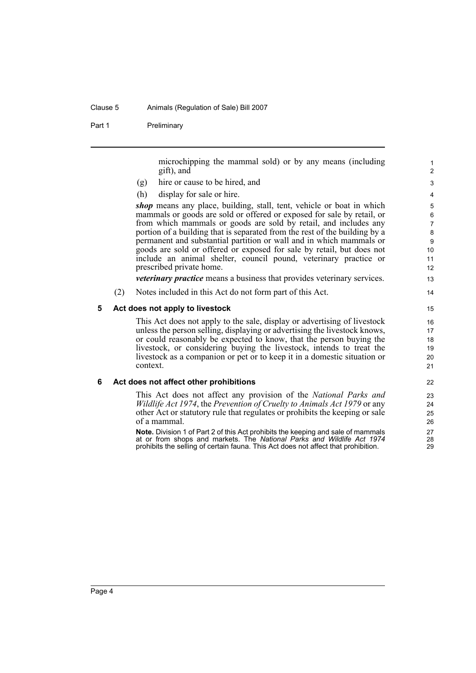#### Clause 5 Animals (Regulation of Sale) Bill 2007

Part 1 Preliminary

microchipping the mammal sold) or by any means (including gift), and

- (g) hire or cause to be hired, and
- (h) display for sale or hire.

*shop* means any place, building, stall, tent, vehicle or boat in which mammals or goods are sold or offered or exposed for sale by retail, or from which mammals or goods are sold by retail, and includes any portion of a building that is separated from the rest of the building by a permanent and substantial partition or wall and in which mammals or goods are sold or offered or exposed for sale by retail, but does not include an animal shelter, council pound, veterinary practice or prescribed private home.

*veterinary practice* means a business that provides veterinary services.

(2) Notes included in this Act do not form part of this Act.

#### <span id="page-9-0"></span>**5 Act does not apply to livestock**

This Act does not apply to the sale, display or advertising of livestock unless the person selling, displaying or advertising the livestock knows, or could reasonably be expected to know, that the person buying the livestock, or considering buying the livestock, intends to treat the livestock as a companion or pet or to keep it in a domestic situation or context.

#### <span id="page-9-1"></span>**6 Act does not affect other prohibitions**

This Act does not affect any provision of the *National Parks and Wildlife Act 1974*, the *Prevention of Cruelty to Animals Act 1979* or any other Act or statutory rule that regulates or prohibits the keeping or sale of a mammal.

**Note.** Division 1 of Part 2 of this Act prohibits the keeping and sale of mammals at or from shops and markets. The *National Parks and Wildlife Act 1974* prohibits the selling of certain fauna. This Act does not affect that prohibition.

Page 4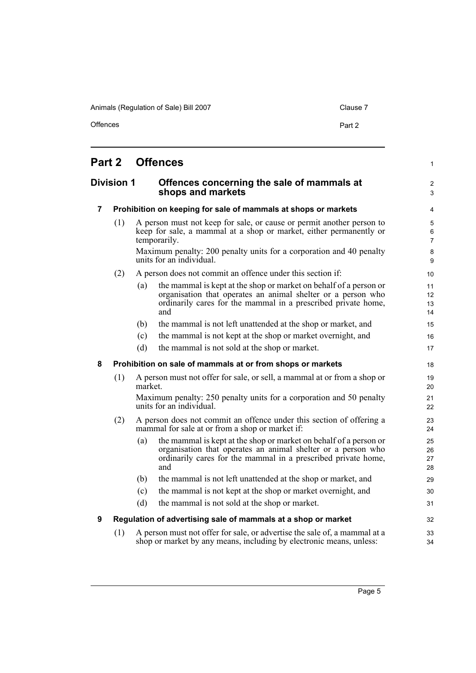Offences **Part 2** 

1

 $\overline{2}$ 3

32 33  $34$ 

## <span id="page-10-0"></span>**Part 2 Offences**

#### <span id="page-10-1"></span>**Division 1 Offences concerning the sale of mammals at shops and markets**

#### <span id="page-10-2"></span>**7 Prohibition on keeping for sale of mammals at shops or markets**

(1) A person must not keep for sale, or cause or permit another person to keep for sale, a mammal at a shop or market, either permanently or temporarily.

Maximum penalty: 200 penalty units for a corporation and 40 penalty units for an individual.

- (2) A person does not commit an offence under this section if:
	- (a) the mammal is kept at the shop or market on behalf of a person or organisation that operates an animal shelter or a person who ordinarily cares for the mammal in a prescribed private home, and
	- (b) the mammal is not left unattended at the shop or market, and
	- (c) the mammal is not kept at the shop or market overnight, and
	- (d) the mammal is not sold at the shop or market.

#### <span id="page-10-3"></span>**8 Prohibition on sale of mammals at or from shops or markets**

(1) A person must not offer for sale, or sell, a mammal at or from a shop or market.

Maximum penalty: 250 penalty units for a corporation and 50 penalty units for an individual.

- (2) A person does not commit an offence under this section of offering a mammal for sale at or from a shop or market if:
	- (a) the mammal is kept at the shop or market on behalf of a person or organisation that operates an animal shelter or a person who ordinarily cares for the mammal in a prescribed private home, and
	- (b) the mammal is not left unattended at the shop or market, and
	- (c) the mammal is not kept at the shop or market overnight, and
	- (d) the mammal is not sold at the shop or market.

#### <span id="page-10-4"></span>**9 Regulation of advertising sale of mammals at a shop or market**

(1) A person must not offer for sale, or advertise the sale of, a mammal at a shop or market by any means, including by electronic means, unless: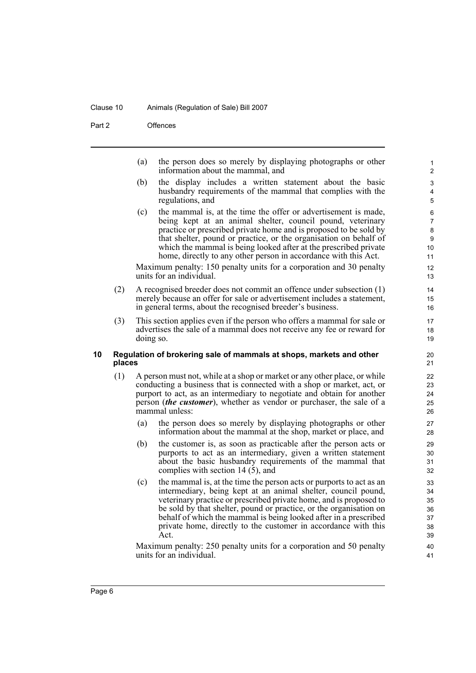#### Clause 10 Animals (Regulation of Sale) Bill 2007

Part 2 Offences

(a) the person does so merely by displaying photographs or other information about the mammal, and

- (b) the display includes a written statement about the basic husbandry requirements of the mammal that complies with the regulations, and
- (c) the mammal is, at the time the offer or advertisement is made, being kept at an animal shelter, council pound, veterinary practice or prescribed private home and is proposed to be sold by that shelter, pound or practice, or the organisation on behalf of which the mammal is being looked after at the prescribed private home, directly to any other person in accordance with this Act.

Maximum penalty: 150 penalty units for a corporation and 30 penalty units for an individual.

- (2) A recognised breeder does not commit an offence under subsection (1) merely because an offer for sale or advertisement includes a statement, in general terms, about the recognised breeder's business.
- (3) This section applies even if the person who offers a mammal for sale or advertises the sale of a mammal does not receive any fee or reward for doing so.

#### <span id="page-11-0"></span>**10 Regulation of brokering sale of mammals at shops, markets and other places**

- (1) A person must not, while at a shop or market or any other place, or while conducting a business that is connected with a shop or market, act, or purport to act, as an intermediary to negotiate and obtain for another person (*the customer*), whether as vendor or purchaser, the sale of a mammal unless:
	- (a) the person does so merely by displaying photographs or other information about the mammal at the shop, market or place, and
	- (b) the customer is, as soon as practicable after the person acts or purports to act as an intermediary, given a written statement about the basic husbandry requirements of the mammal that complies with section 14 (5), and
	- (c) the mammal is, at the time the person acts or purports to act as an intermediary, being kept at an animal shelter, council pound, veterinary practice or prescribed private home, and is proposed to be sold by that shelter, pound or practice, or the organisation on behalf of which the mammal is being looked after in a prescribed private home, directly to the customer in accordance with this Act.

Maximum penalty: 250 penalty units for a corporation and 50 penalty units for an individual.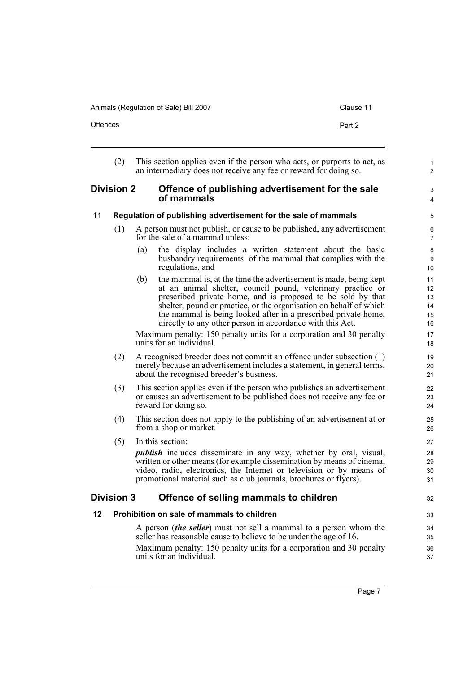| :lause 11 |  |
|-----------|--|
|           |  |

| Offences |  | Part 2 |
|----------|--|--------|
|          |  |        |
|          |  |        |

<span id="page-12-3"></span><span id="page-12-2"></span><span id="page-12-1"></span><span id="page-12-0"></span>

|         | (2)                                                                                                                                                                                                                                       | This section applies even if the person who acts, or purports to act, as<br>an intermediary does not receive any fee or reward for doing so.                                                                                                                                                                                                                                                                                                                                                                  | $\mathbf{1}$<br>$\overline{2}$         |
|---------|-------------------------------------------------------------------------------------------------------------------------------------------------------------------------------------------------------------------------------------------|---------------------------------------------------------------------------------------------------------------------------------------------------------------------------------------------------------------------------------------------------------------------------------------------------------------------------------------------------------------------------------------------------------------------------------------------------------------------------------------------------------------|----------------------------------------|
|         | <b>Division 2</b><br>Offence of publishing advertisement for the sale<br>of mammals                                                                                                                                                       |                                                                                                                                                                                                                                                                                                                                                                                                                                                                                                               | 3<br>$\overline{4}$                    |
| 11      |                                                                                                                                                                                                                                           | Regulation of publishing advertisement for the sale of mammals                                                                                                                                                                                                                                                                                                                                                                                                                                                | 5                                      |
|         | (1)                                                                                                                                                                                                                                       | A person must not publish, or cause to be published, any advertisement<br>for the sale of a mammal unless:                                                                                                                                                                                                                                                                                                                                                                                                    | 6<br>$\overline{7}$                    |
|         |                                                                                                                                                                                                                                           | the display includes a written statement about the basic<br>(a)<br>husbandry requirements of the mammal that complies with the<br>regulations, and                                                                                                                                                                                                                                                                                                                                                            | 8<br>9<br>10                           |
|         |                                                                                                                                                                                                                                           | the mammal is, at the time the advertisement is made, being kept<br>(b)<br>at an animal shelter, council pound, veterinary practice or<br>prescribed private home, and is proposed to be sold by that<br>shelter, pound or practice, or the organisation on behalf of which<br>the mammal is being looked after in a prescribed private home,<br>directly to any other person in accordance with this Act.<br>Maximum penalty: 150 penalty units for a corporation and 30 penalty<br>units for an individual. | 11<br>12<br>13<br>14<br>15<br>16<br>17 |
|         | (2)                                                                                                                                                                                                                                       | A recognised breeder does not commit an offence under subsection (1)<br>merely because an advertisement includes a statement, in general terms,<br>about the recognised breeder's business.                                                                                                                                                                                                                                                                                                                   | 18<br>19<br>20<br>21                   |
|         | (3)                                                                                                                                                                                                                                       | This section applies even if the person who publishes an advertisement<br>or causes an advertisement to be published does not receive any fee or<br>reward for doing so.                                                                                                                                                                                                                                                                                                                                      | 22<br>23<br>24                         |
|         | (4)                                                                                                                                                                                                                                       | This section does not apply to the publishing of an advertisement at or<br>from a shop or market.                                                                                                                                                                                                                                                                                                                                                                                                             | 25<br>26                               |
|         | (5)                                                                                                                                                                                                                                       | In this section:<br><i>publish</i> includes disseminate in any way, whether by oral, visual,<br>written or other means (for example dissemination by means of cinema,<br>video, radio, electronics, the Internet or television or by means of<br>promotional material such as club journals, brochures or flyers).                                                                                                                                                                                            | 27<br>28<br>29<br>30<br>31             |
|         | <b>Division 3</b>                                                                                                                                                                                                                         | Offence of selling mammals to children                                                                                                                                                                                                                                                                                                                                                                                                                                                                        | 32                                     |
| $12 \,$ |                                                                                                                                                                                                                                           | Prohibition on sale of mammals to children                                                                                                                                                                                                                                                                                                                                                                                                                                                                    | 33                                     |
|         | A person (the seller) must not sell a mammal to a person whom the<br>seller has reasonable cause to believe to be under the age of 16.<br>Maximum penalty: 150 penalty units for a corporation and 30 penalty<br>units for an individual. |                                                                                                                                                                                                                                                                                                                                                                                                                                                                                                               |                                        |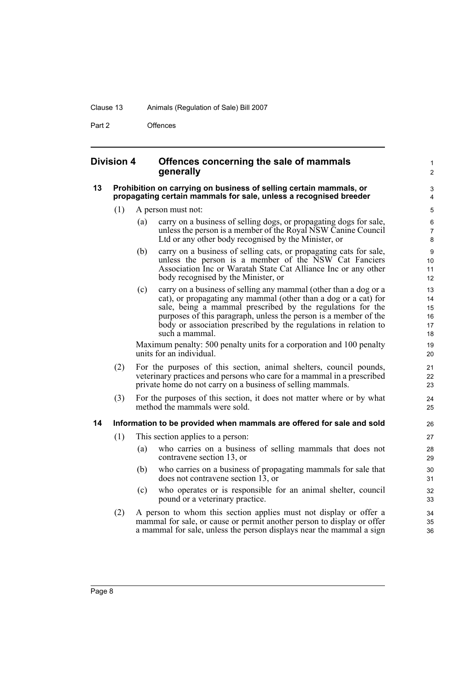#### Clause 13 Animals (Regulation of Sale) Bill 2007

Part 2 **Offences** 

#### <span id="page-13-0"></span>**Division 4 Offences concerning the sale of mammals generally**

#### <span id="page-13-1"></span>**13 Prohibition on carrying on business of selling certain mammals, or propagating certain mammals for sale, unless a recognised breeder**

- (1) A person must not:
	- (a) carry on a business of selling dogs, or propagating dogs for sale, unless the person is a member of the Royal NSW Canine Council Ltd or any other body recognised by the Minister, or

1  $\overline{2}$ 

- (b) carry on a business of selling cats, or propagating cats for sale, unless the person is a member of the NSW Cat Fanciers Association Inc or Waratah State Cat Alliance Inc or any other body recognised by the Minister, or
- (c) carry on a business of selling any mammal (other than a dog or a cat), or propagating any mammal (other than a dog or a cat) for sale, being a mammal prescribed by the regulations for the purposes of this paragraph, unless the person is a member of the body or association prescribed by the regulations in relation to such a mammal.

Maximum penalty: 500 penalty units for a corporation and 100 penalty units for an individual.

- (2) For the purposes of this section, animal shelters, council pounds, veterinary practices and persons who care for a mammal in a prescribed private home do not carry on a business of selling mammals.
- (3) For the purposes of this section, it does not matter where or by what method the mammals were sold.

#### <span id="page-13-2"></span>**14 Information to be provided when mammals are offered for sale and sold**

- (1) This section applies to a person:
	- (a) who carries on a business of selling mammals that does not contravene section 13, or
	- (b) who carries on a business of propagating mammals for sale that does not contravene section 13, or
	- (c) who operates or is responsible for an animal shelter, council pound or a veterinary practice.
- (2) A person to whom this section applies must not display or offer a mammal for sale, or cause or permit another person to display or offer a mammal for sale, unless the person displays near the mammal a sign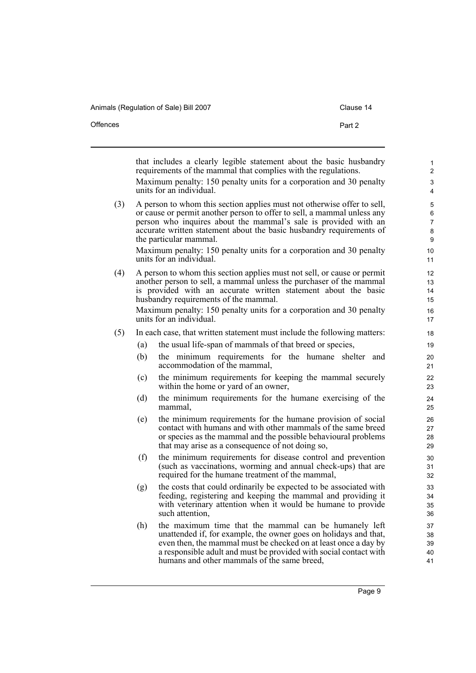| Offences | Part 2                                                                                                                                |
|----------|---------------------------------------------------------------------------------------------------------------------------------------|
|          |                                                                                                                                       |
|          | that includes a clearly legible statement about the basic husbandry<br>requirements of the mammal that complies with the regulations. |

Maximum penalty: 150 penalty units for a corporation and 30 penalty units for an individual.

(3) A person to whom this section applies must not otherwise offer to sell, or cause or permit another person to offer to sell, a mammal unless any person who inquires about the mammal's sale is provided with an accurate written statement about the basic husbandry requirements of the particular mammal.

Maximum penalty: 150 penalty units for a corporation and 30 penalty units for an individual.

(4) A person to whom this section applies must not sell, or cause or permit another person to sell, a mammal unless the purchaser of the mammal is provided with an accurate written statement about the basic husbandry requirements of the mammal. Maximum penalty: 150 penalty units for a corporation and 30 penalty units for an individual.

#### (5) In each case, that written statement must include the following matters:

- (a) the usual life-span of mammals of that breed or species,
- (b) the minimum requirements for the humane shelter and accommodation of the mammal,
- (c) the minimum requirements for keeping the mammal securely within the home or yard of an owner,
- (d) the minimum requirements for the humane exercising of the mammal,
- (e) the minimum requirements for the humane provision of social contact with humans and with other mammals of the same breed or species as the mammal and the possible behavioural problems that may arise as a consequence of not doing so,
- (f) the minimum requirements for disease control and prevention (such as vaccinations, worming and annual check-ups) that are required for the humane treatment of the mammal,
- (g) the costs that could ordinarily be expected to be associated with feeding, registering and keeping the mammal and providing it with veterinary attention when it would be humane to provide such attention,
- (h) the maximum time that the mammal can be humanely left unattended if, for example, the owner goes on holidays and that, even then, the mammal must be checked on at least once a day by a responsible adult and must be provided with social contact with humans and other mammals of the same breed,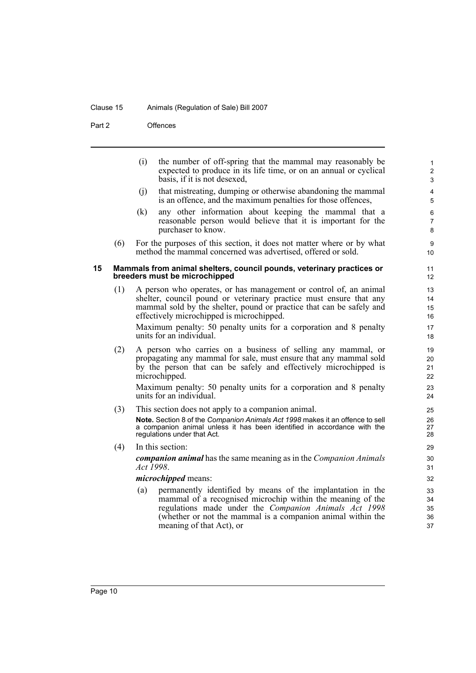#### Clause 15 Animals (Regulation of Sale) Bill 2007

Part 2 Offences

<span id="page-15-0"></span>(i) the number of off-spring that the mammal may reasonably be expected to produce in its life time, or on an annual or cyclical basis, if it is not desexed, (j) that mistreating, dumping or otherwise abandoning the mammal is an offence, and the maximum penalties for those offences, (k) any other information about keeping the mammal that a reasonable person would believe that it is important for the purchaser to know. (6) For the purposes of this section, it does not matter where or by what method the mammal concerned was advertised, offered or sold. **15 Mammals from animal shelters, council pounds, veterinary practices or breeders must be microchipped** (1) A person who operates, or has management or control of, an animal shelter, council pound or veterinary practice must ensure that any mammal sold by the shelter, pound or practice that can be safely and effectively microchipped is microchipped. Maximum penalty: 50 penalty units for a corporation and 8 penalty units for an individual. (2) A person who carries on a business of selling any mammal, or propagating any mammal for sale, must ensure that any mammal sold by the person that can be safely and effectively microchipped is microchipped. Maximum penalty: 50 penalty units for a corporation and 8 penalty units for an individual. (3) This section does not apply to a companion animal. **Note.** Section 8 of the *Companion Animals Act 1998* makes it an offence to sell a companion animal unless it has been identified in accordance with the regulations under that Act. (4) In this section: *companion animal* has the same meaning as in the *Companion Animals Act 1998*. *microchipped* means: (a) permanently identified by means of the implantation in the mammal of a recognised microchip within the meaning of the regulations made under the *Companion Animals Act 1998* (whether or not the mammal is a companion animal within the meaning of that Act), or 1  $\overline{2}$ 3 4 5 6 7 8 9 10 11 12 13 14 15 16 17 18 19 20 21 22 23  $24$ 25 26 27 28 29 30 31 32 33 34 35 36 37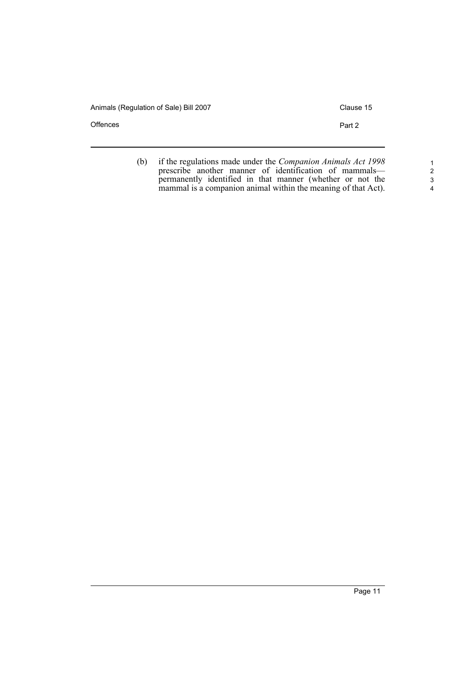Offences **Part 2** 

(b) if the regulations made under the *Companion Animals Act 1998* prescribe another manner of identification of mammals permanently identified in that manner (whether or not the mammal is a companion animal within the meaning of that Act).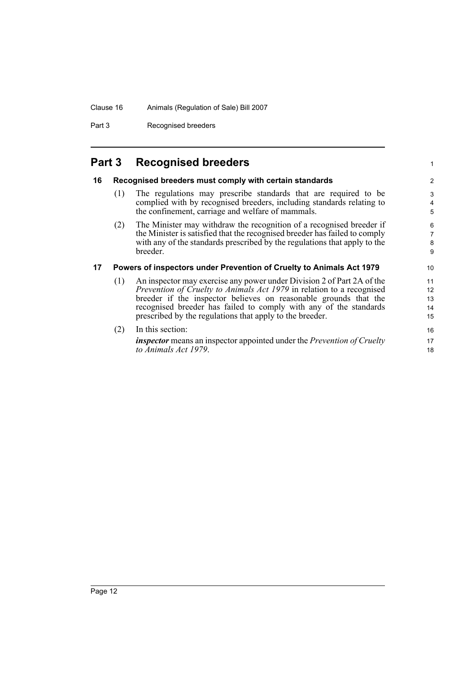### Clause 16 Animals (Regulation of Sale) Bill 2007

Part 3 Recognised breeders

# <span id="page-17-0"></span>**Part 3 Recognised breeders**

<span id="page-17-2"></span><span id="page-17-1"></span>

| 16 | Recognised breeders must comply with certain standards |                                                                                                                                          |                |  |  |
|----|--------------------------------------------------------|------------------------------------------------------------------------------------------------------------------------------------------|----------------|--|--|
|    | (1)                                                    | The regulations may prescribe standards that are required to be<br>complied with by recognised breeders, including standards relating to | 3<br>4         |  |  |
|    |                                                        | the confinement, carriage and welfare of mammals.                                                                                        | 5              |  |  |
|    | (2)                                                    | The Minister may withdraw the recognition of a recognised breeder if                                                                     | 6              |  |  |
|    |                                                        | the Minister is satisfied that the recognised breeder has failed to comply                                                               | $\overline{7}$ |  |  |
|    |                                                        | with any of the standards prescribed by the regulations that apply to the                                                                | 8              |  |  |
|    |                                                        | breeder.                                                                                                                                 | 9              |  |  |
| 17 |                                                        | Powers of inspectors under Prevention of Cruelty to Animals Act 1979                                                                     | 10             |  |  |
|    | (1)                                                    | An inspector may exercise any power under Division 2 of Part 2A of the                                                                   | 11             |  |  |
|    |                                                        | Prevention of Cruelty to Animals Act 1979 in relation to a recognised                                                                    | 12             |  |  |
|    |                                                        | breeder if the inspector believes on reasonable grounds that the                                                                         | 13             |  |  |
|    |                                                        | recognised breeder has failed to comply with any of the standards                                                                        | 14             |  |  |
|    |                                                        | prescribed by the regulations that apply to the breeder.                                                                                 | 15             |  |  |
|    | (2)                                                    | In this section:                                                                                                                         | 16             |  |  |
|    |                                                        | inspector means an inspector appointed under the Prevention of Cruelty                                                                   | 17             |  |  |
|    |                                                        | to Animals Act 1979.                                                                                                                     | 18             |  |  |

1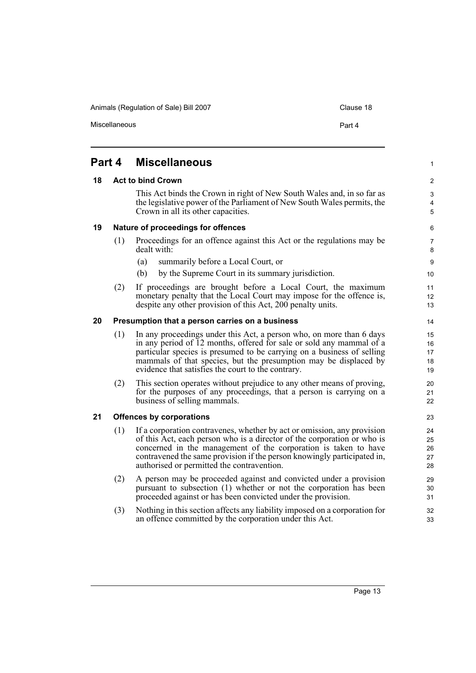Miscellaneous **Part 4** 

#### <span id="page-18-4"></span><span id="page-18-3"></span><span id="page-18-2"></span><span id="page-18-1"></span><span id="page-18-0"></span>**Part 4 Miscellaneous 18 Act to bind Crown** This Act binds the Crown in right of New South Wales and, in so far as the legislative power of the Parliament of New South Wales permits, the Crown in all its other capacities. **19 Nature of proceedings for offences** (1) Proceedings for an offence against this Act or the regulations may be dealt with: (a) summarily before a Local Court, or (b) by the Supreme Court in its summary jurisdiction. (2) If proceedings are brought before a Local Court, the maximum monetary penalty that the Local Court may impose for the offence is, despite any other provision of this Act, 200 penalty units. **20 Presumption that a person carries on a business** (1) In any proceedings under this Act, a person who, on more than 6 days in any period of 12 months, offered for sale or sold any mammal of a particular species is presumed to be carrying on a business of selling mammals of that species, but the presumption may be displaced by evidence that satisfies the court to the contrary. (2) This section operates without prejudice to any other means of proving, for the purposes of any proceedings, that a person is carrying on a business of selling mammals. **21 Offences by corporations** (1) If a corporation contravenes, whether by act or omission, any provision of this Act, each person who is a director of the corporation or who is concerned in the management of the corporation is taken to have contravened the same provision if the person knowingly participated in, authorised or permitted the contravention. (2) A person may be proceeded against and convicted under a provision pursuant to subsection (1) whether or not the corporation has been proceeded against or has been convicted under the provision. (3) Nothing in this section affects any liability imposed on a corporation for an offence committed by the corporation under this Act. 1  $\mathfrak{p}$ 3 4 5 6 7 8 9 10 11 12 13 14 15 16 17 18 19 20 21 22 23 24 25 26 27 28 29 30 31 32 33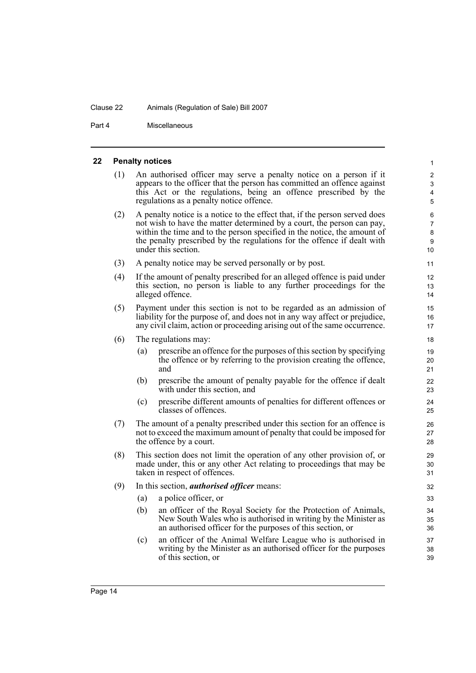#### Clause 22 Animals (Regulation of Sale) Bill 2007

Part 4 Miscellaneous

#### <span id="page-19-0"></span>**22 Penalty notices**

(1) An authorised officer may serve a penalty notice on a person if it appears to the officer that the person has committed an offence against this Act or the regulations, being an offence prescribed by the regulations as a penalty notice offence.

- (2) A penalty notice is a notice to the effect that, if the person served does not wish to have the matter determined by a court, the person can pay, within the time and to the person specified in the notice, the amount of the penalty prescribed by the regulations for the offence if dealt with under this section.
- (3) A penalty notice may be served personally or by post.
- (4) If the amount of penalty prescribed for an alleged offence is paid under this section, no person is liable to any further proceedings for the alleged offence.
- (5) Payment under this section is not to be regarded as an admission of liability for the purpose of, and does not in any way affect or prejudice, any civil claim, action or proceeding arising out of the same occurrence.
- (6) The regulations may:
	- (a) prescribe an offence for the purposes of this section by specifying the offence or by referring to the provision creating the offence, and
	- (b) prescribe the amount of penalty payable for the offence if dealt with under this section, and
	- (c) prescribe different amounts of penalties for different offences or classes of offences.
- (7) The amount of a penalty prescribed under this section for an offence is not to exceed the maximum amount of penalty that could be imposed for the offence by a court.
- (8) This section does not limit the operation of any other provision of, or made under, this or any other Act relating to proceedings that may be taken in respect of offences.
- (9) In this section, *authorised officer* means:
	- (a) a police officer, or
	- (b) an officer of the Royal Society for the Protection of Animals, New South Wales who is authorised in writing by the Minister as an authorised officer for the purposes of this section, or
	- (c) an officer of the Animal Welfare League who is authorised in writing by the Minister as an authorised officer for the purposes of this section, or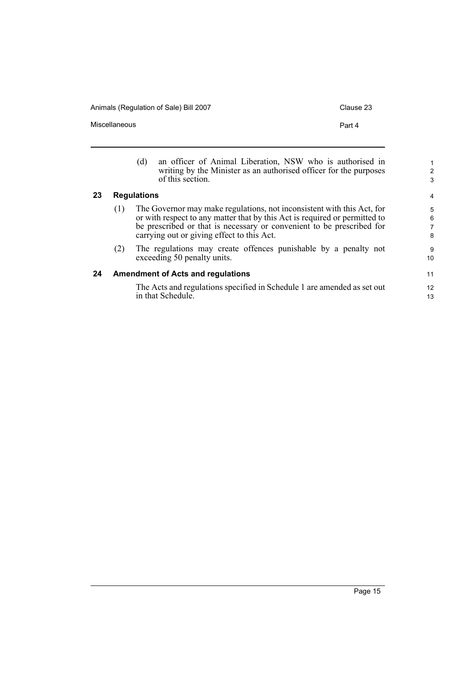Miscellaneous **Part 4** 

<span id="page-20-1"></span><span id="page-20-0"></span>

|    |     | an officer of Animal Liberation, NSW who is authorised in<br>(d)<br>writing by the Minister as an authorised officer for the purposes<br>of this section.                                                                                                                   | 2<br>3           |
|----|-----|-----------------------------------------------------------------------------------------------------------------------------------------------------------------------------------------------------------------------------------------------------------------------------|------------------|
| 23 |     | <b>Regulations</b>                                                                                                                                                                                                                                                          | 4                |
|    | (1) | The Governor may make regulations, not inconsistent with this Act, for<br>or with respect to any matter that by this Act is required or permitted to<br>be prescribed or that is necessary or convenient to be prescribed for<br>carrying out or giving effect to this Act. | 5<br>6<br>7<br>8 |
|    | (2) | The regulations may create offences punishable by a penalty not<br>exceeding 50 penalty units.                                                                                                                                                                              | 9<br>10          |
| 24 |     | <b>Amendment of Acts and regulations</b>                                                                                                                                                                                                                                    | 11               |
|    |     | The Acts and regulations specified in Schedule 1 are amended as set out<br>in that Schedule.                                                                                                                                                                                | 12<br>13         |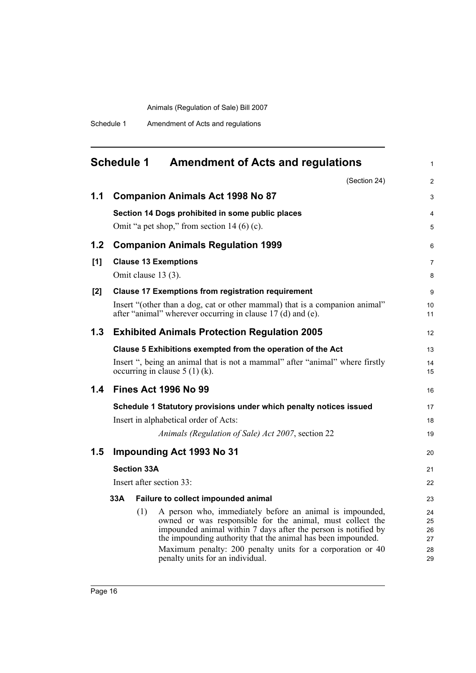Schedule 1 Amendment of Acts and regulations

# <span id="page-21-0"></span>**Schedule 1 Amendment of Acts and regulations**

1

|     |     |                    | (Section 24)                                                                                                                                                                                                                                                                                                                                              | $\overline{2}$                   |
|-----|-----|--------------------|-----------------------------------------------------------------------------------------------------------------------------------------------------------------------------------------------------------------------------------------------------------------------------------------------------------------------------------------------------------|----------------------------------|
| 1.1 |     |                    | <b>Companion Animals Act 1998 No 87</b>                                                                                                                                                                                                                                                                                                                   | 3                                |
|     |     |                    | Section 14 Dogs prohibited in some public places                                                                                                                                                                                                                                                                                                          | $\overline{4}$                   |
|     |     |                    | Omit "a pet shop," from section $14(6)(c)$ .                                                                                                                                                                                                                                                                                                              | 5                                |
| 1.2 |     |                    | <b>Companion Animals Regulation 1999</b>                                                                                                                                                                                                                                                                                                                  | 6                                |
| [1] |     |                    | <b>Clause 13 Exemptions</b>                                                                                                                                                                                                                                                                                                                               | $\overline{7}$                   |
|     |     |                    | Omit clause 13 (3).                                                                                                                                                                                                                                                                                                                                       | 8                                |
| [2] |     |                    | <b>Clause 17 Exemptions from registration requirement</b>                                                                                                                                                                                                                                                                                                 | 9                                |
|     |     |                    | Insert "(other than a dog, cat or other mammal) that is a companion animal"<br>after "animal" wherever occurring in clause 17 (d) and (e).                                                                                                                                                                                                                | 10<br>11                         |
| 1.3 |     |                    | <b>Exhibited Animals Protection Regulation 2005</b>                                                                                                                                                                                                                                                                                                       | 12                               |
|     |     |                    | Clause 5 Exhibitions exempted from the operation of the Act                                                                                                                                                                                                                                                                                               | 13                               |
|     |     |                    | Insert ", being an animal that is not a mammal" after "animal" where firstly<br>occurring in clause $5(1)(k)$ .                                                                                                                                                                                                                                           | 14<br>15                         |
| 1.4 |     |                    | <b>Fines Act 1996 No 99</b>                                                                                                                                                                                                                                                                                                                               | 16                               |
|     |     |                    | Schedule 1 Statutory provisions under which penalty notices issued                                                                                                                                                                                                                                                                                        | 17                               |
|     |     |                    | Insert in alphabetical order of Acts:                                                                                                                                                                                                                                                                                                                     | 18                               |
|     |     |                    | Animals (Regulation of Sale) Act 2007, section 22                                                                                                                                                                                                                                                                                                         | 19                               |
| 1.5 |     |                    | <b>Impounding Act 1993 No 31</b>                                                                                                                                                                                                                                                                                                                          | 20                               |
|     |     | <b>Section 33A</b> |                                                                                                                                                                                                                                                                                                                                                           | 21                               |
|     |     |                    | Insert after section 33:                                                                                                                                                                                                                                                                                                                                  | 22                               |
|     | 33A |                    | Failure to collect impounded animal                                                                                                                                                                                                                                                                                                                       | 23                               |
|     |     | (1)                | A person who, immediately before an animal is impounded,<br>owned or was responsible for the animal, must collect the<br>impounded animal within 7 days after the person is notified by<br>the impounding authority that the animal has been impounded.<br>Maximum penalty: 200 penalty units for a corporation or 40<br>penalty units for an individual. | 24<br>25<br>26<br>27<br>28<br>29 |